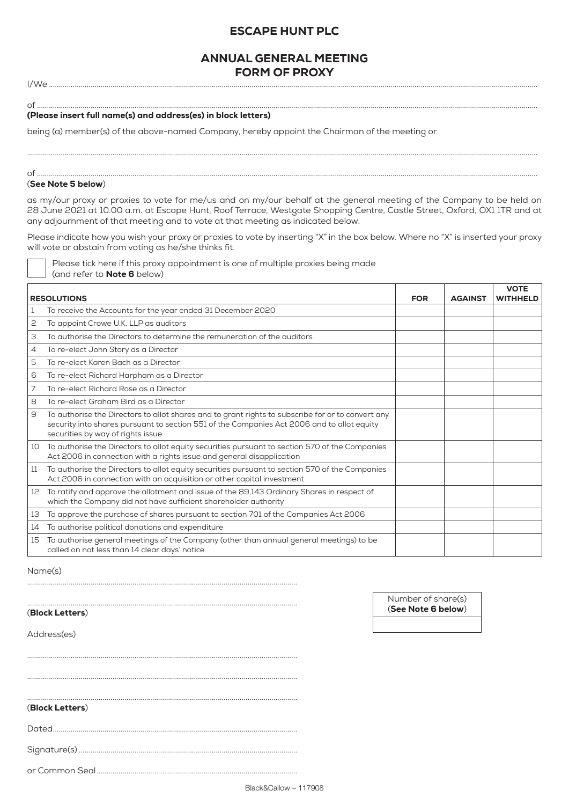# ESCAPE HUNT PLC

# ANNUAL GENERAL MEETING FORM OF PROXY

I/We ......................................................................................................................................................................................................................................................

### of ............................................................................................................................................................................................................................................................ (Please insert full name(s) and address(es) in block letters)

being (a) member(s) of the above-named Company, hereby appoint the Chairman of the meeting or

#### of ............................................................................................................................................................................................................................................................ (See Note 5 below)

as my/our proxy or proxies to vote for me/us and on my/our behalf at the general meeting of the Company to be held on 28 June 2021 at 10.00 a.m. at Escape Hunt, Roof Terrace, Westgate Shopping Centre, Castle Street, Oxford, OX1 1TR and at any adjournment of that meeting and to vote at that meeting as indicated below.

.................................................................................................................................................................................................................................................................

Please indicate how you wish your proxy or proxies to vote by inserting "X" in the box below. Where no "X" is inserted your proxy will vote or abstain from voting as he/she thinks fit.

| Please tick here if this proxy appointment is one of multiple proxies being made |  |
|----------------------------------------------------------------------------------|--|
| (and refer to <b>Note 6</b> below)                                               |  |

|                    |                                                                                                                                                                                                                                      |            |                | <b>VOTE</b>     |
|--------------------|--------------------------------------------------------------------------------------------------------------------------------------------------------------------------------------------------------------------------------------|------------|----------------|-----------------|
| <b>RESOLUTIONS</b> |                                                                                                                                                                                                                                      | <b>FOR</b> | <b>AGAINST</b> | <b>WITHHELD</b> |
|                    | To receive the Accounts for the year ended 31 December 2020                                                                                                                                                                          |            |                |                 |
| 2                  | To appoint Crowe U.K. LLP as auditors                                                                                                                                                                                                |            |                |                 |
| 3                  | To authorise the Directors to determine the remuneration of the auditors                                                                                                                                                             |            |                |                 |
| 4                  | To re-elect John Story as a Director                                                                                                                                                                                                 |            |                |                 |
| 5                  | To re-elect Karen Bach as a Director                                                                                                                                                                                                 |            |                |                 |
| 6                  | To re-elect Richard Harpham as a Director                                                                                                                                                                                            |            |                |                 |
| 7                  | To re-elect Richard Rose as a Director                                                                                                                                                                                               |            |                |                 |
| 8                  | To re-elect Graham Bird as a Director                                                                                                                                                                                                |            |                |                 |
| 9                  | To authorise the Directors to allot shares and to grant rights to subscribe for or to convert any<br>security into shares pursuant to section 551 of the Companies Act 2006 and to allot equity<br>securities by way of rights issue |            |                |                 |
| 10                 | To authorise the Directors to allot equity securities pursuant to section 570 of the Companies<br>Act 2006 in connection with a rights issue and general disapplication                                                              |            |                |                 |
| 11                 | To authorise the Directors to allot equity securities pursuant to section 570 of the Companies<br>Act 2006 in connection with an acquisition or other capital investment                                                             |            |                |                 |
| 12                 | To ratify and approve the allotment and issue of the 89,143 Ordinary Shares in respect of<br>which the Company did not have sufficient shareholder authority                                                                         |            |                |                 |
| 13                 | To approve the purchase of shares pursuant to section 701 of the Companies Act 2006                                                                                                                                                  |            |                |                 |
| 14                 | To authorise political donations and expenditure                                                                                                                                                                                     |            |                |                 |
| 15                 | To authorise general meetings of the Company (other than annual general meetings) to be<br>called on not less than 14 clear days' notice.                                                                                            |            |                |                 |

Name(s)

## (Block Letters)

Address(es)

Number of share(s)

(See Note 6 below)

| (Block Letters) |  |  |
|-----------------|--|--|

Dated...........................................................................................................................

........................................................................................................................................

........................................................................................................................................

........................................................................................................................................

........................................................................................................................................

Signature(s) ..............................................................................................................

or Common Seal.....................................................................................................